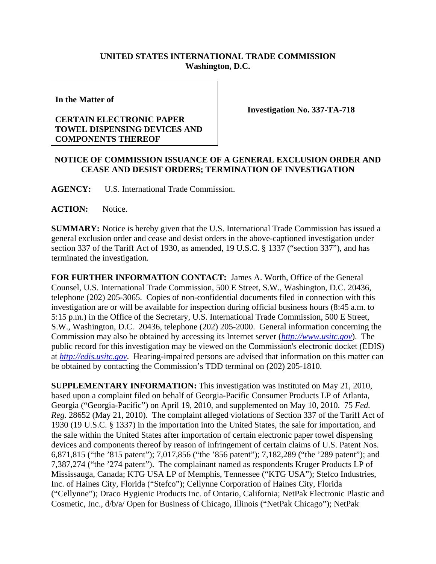## **UNITED STATES INTERNATIONAL TRADE COMMISSION Washington, D.C.**

**In the Matter of** 

## **CERTAIN ELECTRONIC PAPER TOWEL DISPENSING DEVICES AND COMPONENTS THEREOF**

**Investigation No. 337-TA-718** 

## **NOTICE OF COMMISSION ISSUANCE OF A GENERAL EXCLUSION ORDER AND CEASE AND DESIST ORDERS; TERMINATION OF INVESTIGATION**

**AGENCY:** U.S. International Trade Commission.

ACTION: Notice.

**SUMMARY:** Notice is hereby given that the U.S. International Trade Commission has issued a general exclusion order and cease and desist orders in the above-captioned investigation under section 337 of the Tariff Act of 1930, as amended, 19 U.S.C. § 1337 ("section 337"), and has terminated the investigation.

**FOR FURTHER INFORMATION CONTACT:** James A. Worth, Office of the General Counsel, U.S. International Trade Commission, 500 E Street, S.W., Washington, D.C. 20436, telephone (202) 205-3065. Copies of non-confidential documents filed in connection with this investigation are or will be available for inspection during official business hours (8:45 a.m. to 5:15 p.m.) in the Office of the Secretary, U.S. International Trade Commission, 500 E Street, S.W., Washington, D.C. 20436, telephone (202) 205-2000. General information concerning the Commission may also be obtained by accessing its Internet server (*http://www.usitc.gov*). The public record for this investigation may be viewed on the Commission's electronic docket (EDIS) at *http://edis.usitc.gov*. Hearing-impaired persons are advised that information on this matter can be obtained by contacting the Commission's TDD terminal on (202) 205-1810.

**SUPPLEMENTARY INFORMATION:** This investigation was instituted on May 21, 2010, based upon a complaint filed on behalf of Georgia-Pacific Consumer Products LP of Atlanta, Georgia ("Georgia-Pacific") on April 19, 2010, and supplemented on May 10, 2010. 75 *Fed. Reg.* 28652 (May 21, 2010). The complaint alleged violations of Section 337 of the Tariff Act of 1930 (19 U.S.C. § 1337) in the importation into the United States, the sale for importation, and the sale within the United States after importation of certain electronic paper towel dispensing devices and components thereof by reason of infringement of certain claims of U.S. Patent Nos. 6,871,815 ("the '815 patent"); 7,017,856 ("the '856 patent"); 7,182,289 ("the '289 patent"); and 7,387,274 ("the '274 patent"). The complainant named as respondents Kruger Products LP of Mississauga, Canada; KTG USA LP of Memphis, Tennessee ("KTG USA"); Stefco Industries, Inc. of Haines City, Florida ("Stefco"); Cellynne Corporation of Haines City, Florida ("Cellynne"); Draco Hygienic Products Inc. of Ontario, California; NetPak Electronic Plastic and Cosmetic, Inc., d/b/a/ Open for Business of Chicago, Illinois ("NetPak Chicago"); NetPak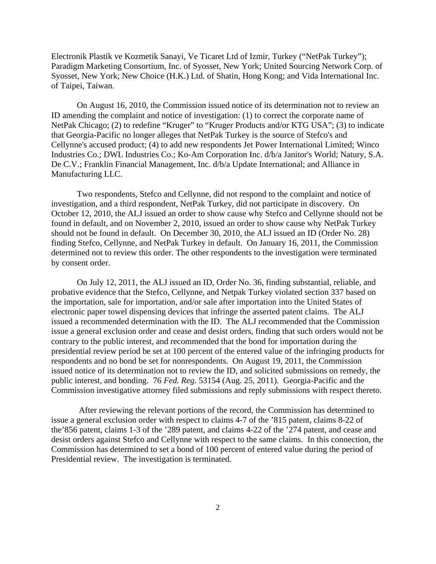Electronik Plastik ve Kozmetik Sanayi, Ve Ticaret Ltd of Izmir, Turkey ("NetPak Turkey"); Paradigm Marketing Consortium, Inc. of Syosset, New York; United Sourcing Network Corp. of Syosset, New York; New Choice (H.K.) Ltd. of Shatin, Hong Kong; and Vida International Inc. of Taipei, Taiwan.

 On August 16, 2010, the Commission issued notice of its determination not to review an ID amending the complaint and notice of investigation: (1) to correct the corporate name of NetPak Chicago; (2) to redefine "Kruger" to "Kruger Products and/or KTG USA"; (3) to indicate that Georgia-Pacific no longer alleges that NetPak Turkey is the source of Stefco's and Cellynne's accused product; (4) to add new respondents Jet Power International Limited; Winco Industries Co.; DWL Industries Co.; Ko-Am Corporation Inc. d/b/a Janitor's World; Natury, S.A. De C.V.; Franklin Financial Management, Inc. d/b/a Update International; and Alliance in Manufacturing LLC.

 Two respondents, Stefco and Cellynne, did not respond to the complaint and notice of investigation, and a third respondent, NetPak Turkey, did not participate in discovery. On October 12, 2010, the ALJ issued an order to show cause why Stefco and Cellynne should not be found in default, and on November 2, 2010, issued an order to show cause why NetPak Turkey should not be found in default. On December 30, 2010, the ALJ issued an ID (Order No. 28) finding Stefco, Cellynne, and NetPak Turkey in default. On January 16, 2011, the Commission determined not to review this order. The other respondents to the investigation were terminated by consent order.

 On July 12, 2011, the ALJ issued an ID, Order No. 36, finding substantial, reliable, and probative evidence that the Stefco, Cellynne, and Netpak Turkey violated section 337 based on the importation, sale for importation, and/or sale after importation into the United States of electronic paper towel dispensing devices that infringe the asserted patent claims. The ALJ issued a recommended determination with the ID. The ALJ recommended that the Commission issue a general exclusion order and cease and desist orders, finding that such orders would not be contrary to the public interest, and recommended that the bond for importation during the presidential review period be set at 100 percent of the entered value of the infringing products for respondents and no bond be set for nonrespondents. On August 19, 2011, the Commission issued notice of its determination not to review the ID, and solicited submissions on remedy, the public interest, and bonding. 76 *Fed. Reg.* 53154 (Aug. 25, 2011). Georgia-Pacific and the Commission investigative attorney filed submissions and reply submissions with respect thereto.

After reviewing the relevant portions of the record, the Commission has determined to issue a general exclusion order with respect to claims 4-7 of the '815 patent, claims 8-22 of the'856 patent, claims 1-3 of the '289 patent, and claims 4-22 of the '274 patent, and cease and desist orders against Stefco and Cellynne with respect to the same claims. In this connection, the Commission has determined to set a bond of 100 percent of entered value during the period of Presidential review. The investigation is terminated.